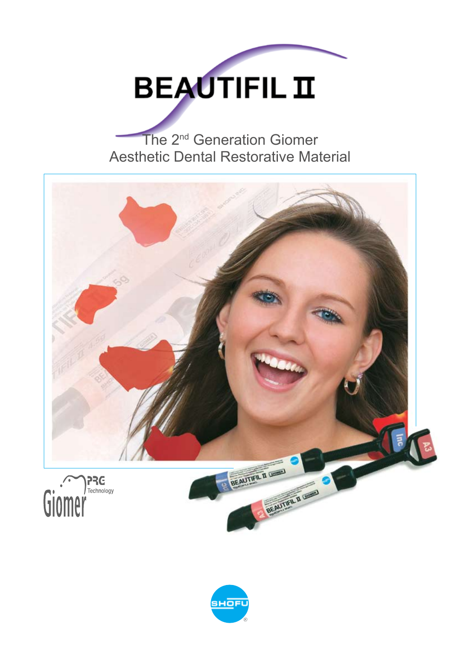

## The 2<sup>nd</sup> Generation Giomer Aesthetic Dental Restorative Material



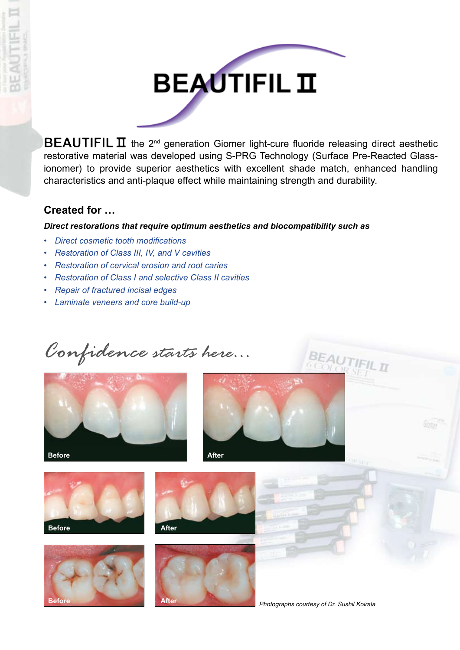



**BEAUTIFIL II** the 2<sup>nd</sup> generation Giomer light-cure fluoride releasing direct aesthetic restorative material was developed using S-PRG Technology (Surface Pre-Reacted Glassionomer) to provide superior aesthetics with excellent shade match, enhanced handling characteristics and anti-plaque effect while maintaining strength and durability.

## **Created for …**

#### *Direct restorations that require optimum aesthetics and biocompatibility such as*

- *• Direct cosmetic tooth modifications*
- *• Restoration of Class III, IV, and V cavities*
- *• Restoration of cervical erosion and root caries*
- *• Restoration of Class I and selective Class II cavities*
- *• Repair of fractured incisal edges*
- *• Laminate veneers and core build-up*

*Confidence starts here...*













*Photographs courtesy of Dr. Sushil Koirala*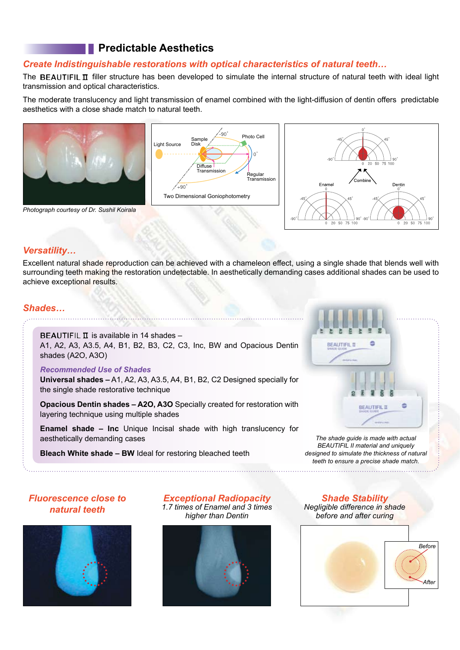## **Predictable Aesthetics**

#### *Create Indistinguishable restorations with optical characteristics of natural teeth…*

The BEAUTIFIL II filler structure has been developed to simulate the internal structure of natural teeth with ideal light transmission and optical characteristics.

The moderate translucency and light transmission of enamel combined with the light-diffusion of dentin offers predictable aesthetics with a close shade match to natural teeth.









#### *Versatility…*

Excellent natural shade reproduction can be achieved with a chameleon effect, using a single shade that blends well with surrounding teeth making the restoration undetectable. In aesthetically demanding cases additional shades can be used to achieve exceptional results.

#### *Shades…*

#### **BEAUTIFIL**  $\Pi$  is available in 14 shades –

A1, A2, A3, A3.5, A4, B1, B2, B3, C2, C3, Inc, BW and Opacious Dentin shades (A2O, A3O)

#### *Recommended Use of Shades*

**Universal shades –** A1, A2, A3, A3.5, A4, B1, B2, C2 Designed specially for the single shade restorative technique

**Opacious Dentin shades – A2O, A3O** Specially created for restoration with layering technique using multiple shades

**Enamel shade – Inc** Unique Incisal shade with high translucency for aesthetically demanding cases

**Bleach White shade – BW** Ideal for restoring bleached teeth



*The shade guide is made with actual Beautifil II material and uniquely designed to simulate the thickness of natural teeth to ensure a precise shade match.*

#### *Fluorescence close to natural teeth*



*Exceptional Radiopacity 1.7 times of Enamel and 3 times higher than Dentin*



*Shade Stability Negligible difference in shade before and after curing*

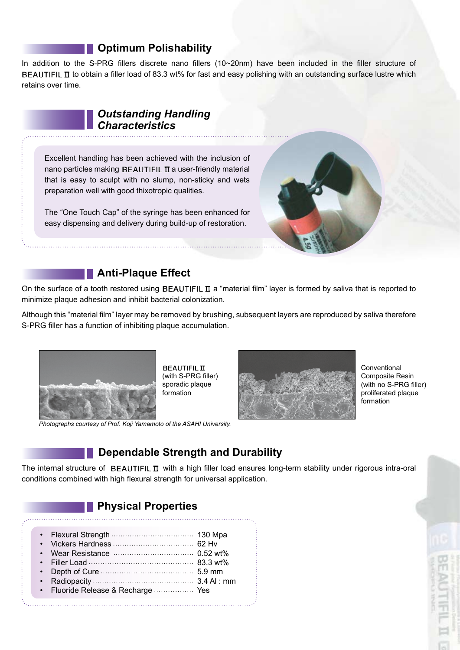### **Particle Deptimum Polishability**

In addition to the S-PRG fillers discrete nano fillers (10~20nm) have been included in the filler structure of **BEAUTIFIL II** to obtain a filler load of 83.3 wt% for fast and easy polishing with an outstanding surface lustre which retains over time.

## *Outstanding Handling Characteristics*

Excellent handling has been achieved with the inclusion of nano particles making BEAUTIFIL  $\overline{\mathbf{u}}$  a user-friendly material that is easy to sculpt with no slump, non-sticky and wets preparation well with good thixotropic qualities.

The "One Touch Cap" of the syringe has been enhanced for easy dispensing and delivery during build-up of restoration.



## **Anti-Plaque Effect**

On the surface of a tooth restored using BEAUTIFIL  $\pi$  a "material film" layer is formed by saliva that is reported to minimize plaque adhesion and inhibit bacterial colonization.

Although this "material film" layer may be removed by brushing, subsequent layers are reproduced by saliva therefore S-PRG filler has a function of inhibiting plaque accumulation.



**BEAUTIFIL II** (with S-PRG filler) sporadic plaque formation



Conventional Composite Resin (with no S-PRG filler) proliferated plaque formation

## **Dependable Strength and Durability**

The internal structure of BEAUTIFIL  $\pi$  with a high filler load ensures long-term stability under rigorous intra-oral conditions combined with high flexural strength for universal application.

## **Physical Properties**

| • Fluoride Release & Recharge  Yes |  |
|------------------------------------|--|
|------------------------------------|--|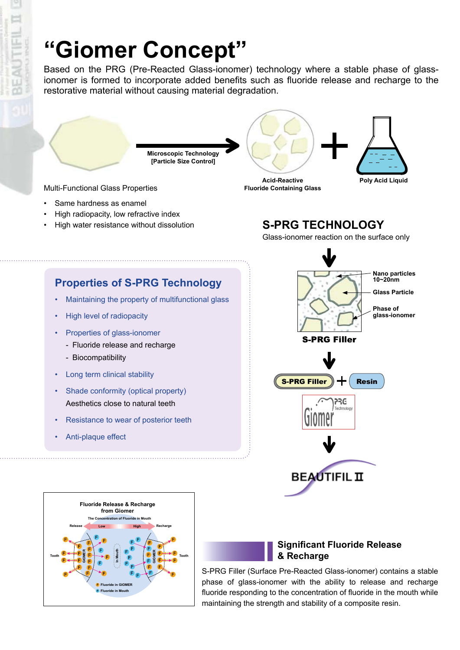# **"Giomer Concept"**

**Microscopic Technology [Particle Size Control]**

Based on the PRG (Pre-Reacted Glass-ionomer) technology where a stable phase of glassionomer is formed to incorporate added benefits such as fluoride release and recharge to the restorative material without causing material degradation.

Multi-Functional Glass Properties

- Same hardness as enamel
- High radiopacity, low refractive index
- High water resistance without dissolution

**Acid-Reactive Fluoride Containing Glass**

## **S-PRG TECHNOLOGY**

Glass-ionomer reaction on the surface only

**Poly Acid Liquid**



- Maintaining the property of multifunctional glass
- High level of radiopacity
- Properties of glass-ionomer
	- Fluoride release and recharge
	- Biocompatibility
- Long term clinical stability
- Shade conformity (optical property) Aesthetics close to natural teeth
- Resistance to wear of posterior teeth
- Anti-plaque effect



#### **Significant Fluoride Release & Recharge**

S-PRG Filler (Surface Pre-Reacted Glass-ionomer) contains a stable phase of glass-ionomer with the ability to release and recharge fluoride responding to the concentration of fluoride in the mouth while maintaining the strength and stability of a composite resin.